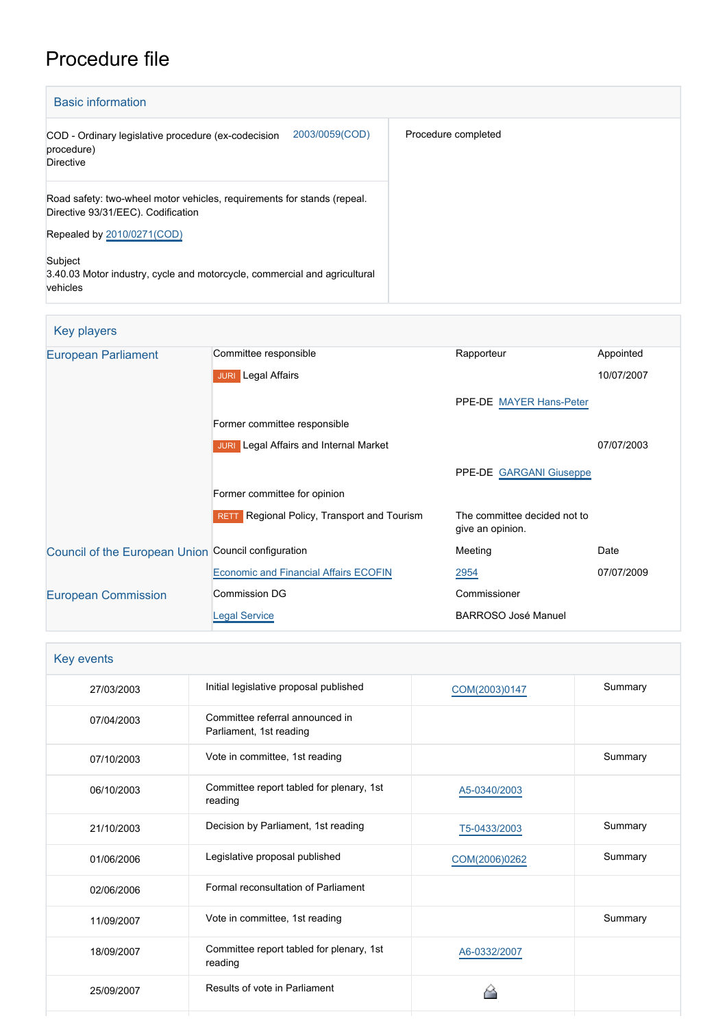# Procedure file

| <b>Basic information</b>                                                                                      |                     |
|---------------------------------------------------------------------------------------------------------------|---------------------|
| 2003/0059(COD)<br>COD - Ordinary legislative procedure (ex-codecision<br>procedure)<br>Directive              | Procedure completed |
| Road safety: two-wheel motor vehicles, requirements for stands (repeal.<br>Directive 93/31/EEC). Codification |                     |
| Repealed by 2010/0271(COD)                                                                                    |                     |
| Subject<br>3.40.03 Motor industry, cycle and motorcycle, commercial and agricultural<br>vehicles              |                     |

| <b>Key players</b>                                  |                                               |                                                  |            |
|-----------------------------------------------------|-----------------------------------------------|--------------------------------------------------|------------|
| <b>European Parliament</b>                          | Committee responsible                         | Rapporteur                                       | Appointed  |
|                                                     | <b>JURI</b> Legal Affairs                     |                                                  | 10/07/2007 |
|                                                     |                                               | PPE-DE MAYER Hans-Peter                          |            |
|                                                     | Former committee responsible                  |                                                  |            |
|                                                     | <b>JURI</b> Legal Affairs and Internal Market |                                                  | 07/07/2003 |
|                                                     |                                               | PPE-DE GARGANI Giuseppe                          |            |
|                                                     | Former committee for opinion                  |                                                  |            |
|                                                     | RETT Regional Policy, Transport and Tourism   | The committee decided not to<br>give an opinion. |            |
| Council of the European Union Council configuration |                                               | Meeting                                          | Date       |
|                                                     | <b>Economic and Financial Affairs ECOFIN</b>  | 2954                                             | 07/07/2009 |
| <b>European Commission</b>                          | Commission DG                                 | Commissioner                                     |            |
|                                                     | <b>Legal Service</b>                          | <b>BARROSO José Manuel</b>                       |            |

| Key events |                                                            |               |         |
|------------|------------------------------------------------------------|---------------|---------|
| 27/03/2003 | Initial legislative proposal published                     | COM(2003)0147 | Summary |
| 07/04/2003 | Committee referral announced in<br>Parliament, 1st reading |               |         |
| 07/10/2003 | Vote in committee, 1st reading                             |               | Summary |
| 06/10/2003 | Committee report tabled for plenary, 1st<br>reading        | A5-0340/2003  |         |
| 21/10/2003 | Decision by Parliament, 1st reading                        | T5-0433/2003  | Summary |
| 01/06/2006 | Legislative proposal published                             | COM(2006)0262 | Summary |
| 02/06/2006 | Formal reconsultation of Parliament                        |               |         |
| 11/09/2007 | Vote in committee, 1st reading                             |               | Summary |
| 18/09/2007 | Committee report tabled for plenary, 1st<br>reading        | A6-0332/2007  |         |
| 25/09/2007 | Results of vote in Parliament                              |               |         |
|            |                                                            |               |         |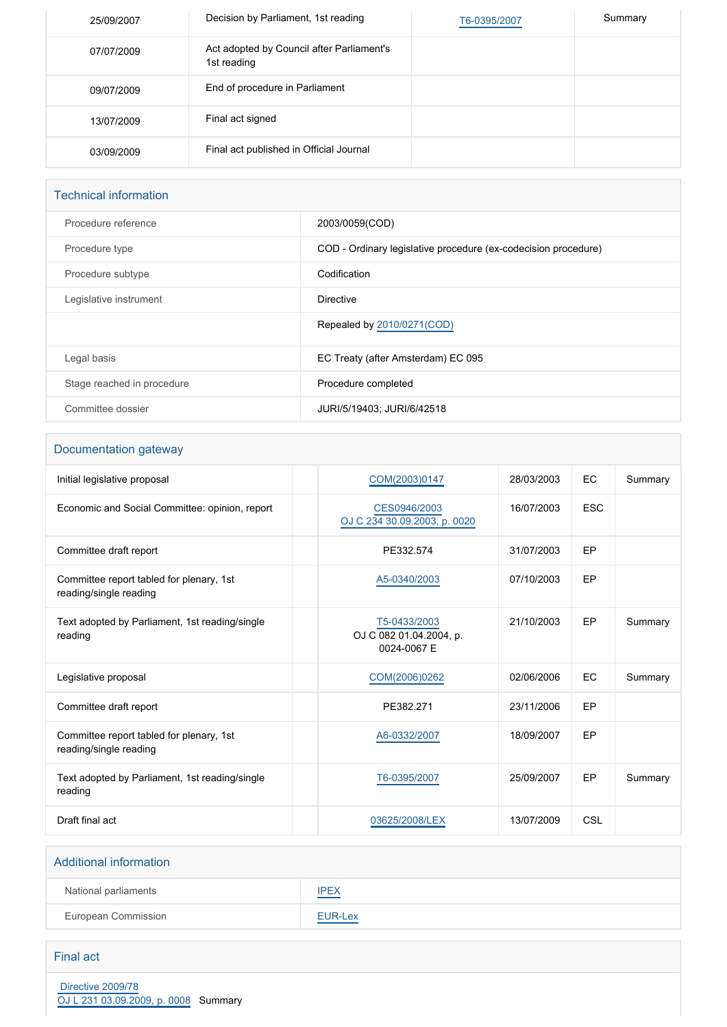| 25/09/2007 | Decision by Parliament, 1st reading                      | T6-0395/2007 | Summary |
|------------|----------------------------------------------------------|--------------|---------|
| 07/07/2009 | Act adopted by Council after Parliament's<br>1st reading |              |         |
| 09/07/2009 | End of procedure in Parliament                           |              |         |
| 13/07/2009 | Final act signed                                         |              |         |
| 03/09/2009 | Final act published in Official Journal                  |              |         |

| <b>Technical information</b> |                                                                |
|------------------------------|----------------------------------------------------------------|
| Procedure reference          | 2003/0059(COD)                                                 |
| Procedure type               | COD - Ordinary legislative procedure (ex-codecision procedure) |
| Procedure subtype            | Codification                                                   |
| Legislative instrument       | <b>Directive</b>                                               |
|                              | Repealed by 2010/0271(COD)                                     |
| Legal basis                  | EC Treaty (after Amsterdam) EC 095                             |
| Stage reached in procedure   | Procedure completed                                            |
| Committee dossier            | JURI/5/19403; JURI/6/42518                                     |

### Documentation gateway

| Initial legislative proposal                                       | COM(2003)0147                                          | 28/03/2003 | EC         | Summary |
|--------------------------------------------------------------------|--------------------------------------------------------|------------|------------|---------|
| Economic and Social Committee: opinion, report                     | CES0946/2003<br>OJ C 234 30.09.2003, p. 0020           | 16/07/2003 | <b>ESC</b> |         |
| Committee draft report                                             | PE332.574                                              | 31/07/2003 | EP         |         |
| Committee report tabled for plenary, 1st<br>reading/single reading | A5-0340/2003                                           | 07/10/2003 | EP         |         |
| Text adopted by Parliament, 1st reading/single<br>reading          | T5-0433/2003<br>OJ C 082 01.04.2004, p.<br>0024-0067 E | 21/10/2003 | EP         | Summary |
| Legislative proposal                                               | COM(2006)0262                                          | 02/06/2006 | EC         | Summary |
| Committee draft report                                             | PE382.271                                              | 23/11/2006 | EP         |         |
| Committee report tabled for plenary, 1st<br>reading/single reading | A6-0332/2007                                           | 18/09/2007 | EP         |         |
| Text adopted by Parliament, 1st reading/single<br>reading          | T6-0395/2007                                           | 25/09/2007 | EP         | Summary |
| Draft final act                                                    | 03625/2008/LEX                                         | 13/07/2009 | CSL        |         |

#### Additional information

| National parliaments | <b>IPEX</b><br>the control of the control of |
|----------------------|----------------------------------------------|
| European Commission  | EUR-Lex                                      |

#### Final act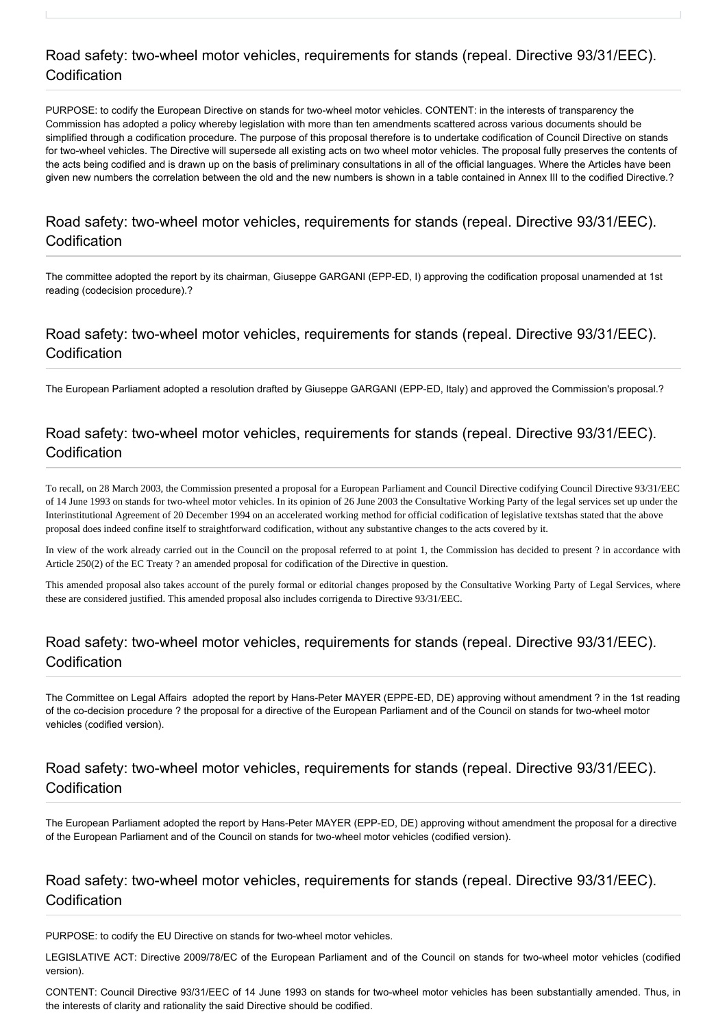## Road safety: two-wheel motor vehicles, requirements for stands (repeal. Directive 93/31/EEC). Codification

PURPOSE: to codify the European Directive on stands for two-wheel motor vehicles. CONTENT: in the interests of transparency the Commission has adopted a policy whereby legislation with more than ten amendments scattered across various documents should be simplified through a codification procedure. The purpose of this proposal therefore is to undertake codification of Council Directive on stands for two-wheel vehicles. The Directive will supersede all existing acts on two wheel motor vehicles. The proposal fully preserves the contents of the acts being codified and is drawn up on the basis of preliminary consultations in all of the official languages. Where the Articles have been given new numbers the correlation between the old and the new numbers is shown in a table contained in Annex III to the codified Directive.?

### Road safety: two-wheel motor vehicles, requirements for stands (repeal. Directive 93/31/EEC). Codification

The committee adopted the report by its chairman, Giuseppe GARGANI (EPP-ED, I) approving the codification proposal unamended at 1st reading (codecision procedure).?

## Road safety: two-wheel motor vehicles, requirements for stands (repeal. Directive 93/31/EEC). Codification

The European Parliament adopted a resolution drafted by Giuseppe GARGANI (EPP-ED, Italy) and approved the Commission's proposal.?

# Road safety: two-wheel motor vehicles, requirements for stands (repeal. Directive 93/31/EEC). Codification

To recall, on 28 March 2003, the Commission presented a proposal for a European Parliament and Council Directive codifying Council Directive 93/31/EEC of 14 June 1993 on stands for two-wheel motor vehicles. In its opinion of 26 June 2003 the Consultative Working Party of the legal services set up under the Interinstitutional Agreement of 20 December 1994 on an accelerated working method for official codification of legislative textshas stated that the above proposal does indeed confine itself to straightforward codification, without any substantive changes to the acts covered by it.

In view of the work already carried out in the Council on the proposal referred to at point 1, the Commission has decided to present ? in accordance with Article 250(2) of the EC Treaty ? an amended proposal for codification of the Directive in question.

This amended proposal also takes account of the purely formal or editorial changes proposed by the Consultative Working Party of Legal Services, where these are considered justified. This amended proposal also includes corrigenda to Directive 93/31/EEC.

### Road safety: two-wheel motor vehicles, requirements for stands (repeal. Directive 93/31/EEC). Codification

The Committee on Legal Affairs adopted the report by Hans-Peter MAYER (EPPE-ED, DE) approving without amendment ? in the 1st reading of the co-decision procedure ? the proposal for a directive of the European Parliament and of the Council on stands for two-wheel motor vehicles (codified version).

### Road safety: two-wheel motor vehicles, requirements for stands (repeal. Directive 93/31/EEC). Codification

The European Parliament adopted the report by Hans-Peter MAYER (EPP-ED, DE) approving without amendment the proposal for a directive of the European Parliament and of the Council on stands for two-wheel motor vehicles (codified version).

#### Road safety: two-wheel motor vehicles, requirements for stands (repeal. Directive 93/31/EEC). Codification

PURPOSE: to codify the EU Directive on stands for two-wheel motor vehicles.

LEGISLATIVE ACT: Directive 2009/78/EC of the European Parliament and of the Council on stands for two-wheel motor vehicles (codified version).

CONTENT: Council Directive 93/31/EEC of 14 June 1993 on stands for two-wheel motor vehicles has been substantially amended. Thus, in the interests of clarity and rationality the said Directive should be codified.